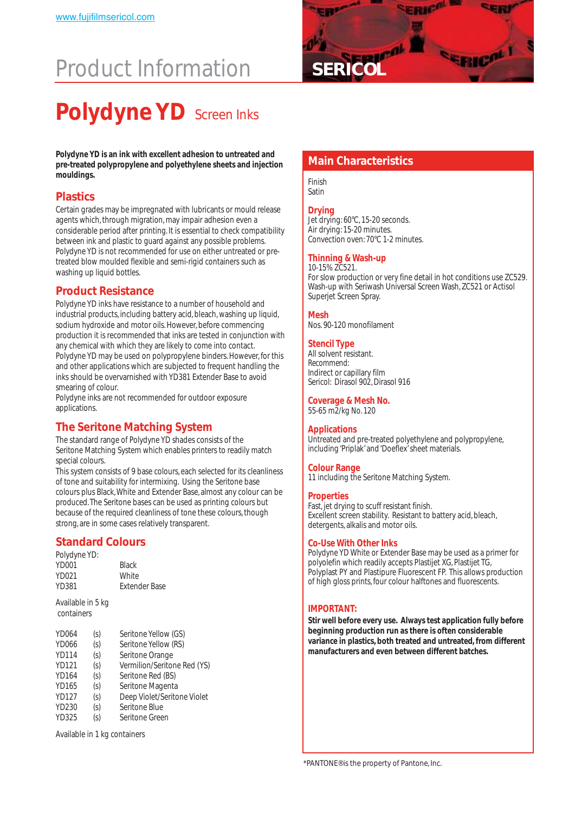# **Product Information**



## **Polydyne YD** Screen Inks

Polydyne YD is an ink with excellent adhesion to untreated and<br>pre-treated polypropylene and polyethylene sheets and injection**ness in Main Characteristics mouldings.**

#### **Plastics**

Certain grades may be impregnated with lubricants or mould release agents which, through migration, may impair adhesion even a considerable period after printing. It is essential to check compatibility between ink and plastic to guard against any possible problems. Polydyne YD is not recommended for use on either untreated or pretreated blow moulded flexible and semi-rigid containers such as washing up liquid bottles.

#### **Product Resistance**

Polydyne YD inks have resistance to a number of household and industrial products, including battery acid, bleach, washing up liquid, sodium hydroxide and motor oils. However, before commencing production it is recommended that inks are tested in conjunction with any chemical with which they are likely to come into contact. Polydyne YD may be used on polypropylene binders. However, for this and other applications which are subjected to frequent handling the inks should be overvarnished with YD381 Extender Base to avoid smearing of colour.

Polydyne inks are not recommended for outdoor exposure applications.

#### **The Seritone Matching System**

The standard range of Polydyne YD shades consists of the Seritone Matching System which enables printers to readily match special colours.

This system consists of 9 base colours, each selected for its cleanliness of tone and suitability for intermixing. Using the Seritone base colours plus Black, White and Extender Base, almost any colour can be produced. The Seritone bases can be used as printing colours but because of the required cleanliness of tone these colours, though strong, are in some cases relatively transparent.

#### **Standard Colours**

| <b>Black</b>         |
|----------------------|
| White                |
| <b>Extender Base</b> |
|                      |

Available in 5 kg containers

| <b>YD064</b> | (s) | Seritone Yellow (GS)        |
|--------------|-----|-----------------------------|
| <b>YD066</b> | (s) | Seritone Yellow (RS)        |
| <b>YD114</b> | (s) | Seritone Orange             |
| <b>YD121</b> | (s) | Vermilion/Seritone Red (YS) |
| <b>YD164</b> | (s) | Seritone Red (BS)           |
| YD165        | (s) | Seritone Magenta            |
| <b>YD127</b> | (s) | Deep Violet/Seritone Violet |
| YD230        | (s) | Seritone Blue               |
| <b>YD325</b> | (s) | Seritone Green              |

Available in 1 kg containers

Finish Satin

#### **Drying**

Jet drying: 60°C, 15-20 seconds. Air drying: 15-20 minutes. Convection oven: 70°C 1-2 minutes.

#### **Thinning & Wash-up**

10-15% ZC521. For slow production or very fine detail in hot conditions use ZC529. Wash-up with Seriwash Universal Screen Wash, ZC521 or Actisol Superjet Screen Spray.

#### **Mesh**

Nos. 90-120 monofilament

#### **Stencil Type**

All solvent resistant. *Recommend:* Indirect or capillary film Sericol: Dirasol 902, Dirasol 916

#### **Coverage & Mesh No.**

55-65 m2/kg No. 120

#### **Applications**

Untreated and pre-treated polyethylene and polypropylene, including 'Priplak' and 'Doeflex' sheet materials.

#### **Colour Range**

11 including the Seritone Matching System.

#### **Properties**

Fast, jet drying to scuff resistant finish. Excellent screen stability. Resistant to battery acid, bleach, detergents, alkalis and motor oils.

#### **Co-Use With Other Inks**

Polydyne YD White or Extender Base may be used as a primer for polyolefin which readily accepts Plastijet XG, Plastijet TG, Polyplast PY and Plastipure Fluorescent FP. This allows production of high gloss prints, four colour halftones and fluorescents.

#### **IMPORTANT:**

**Stir well before every use. Always test application fully before beginning production run as there is often considerable variance in plastics, both treated and untreated, from different manufacturers and even between different batches.**